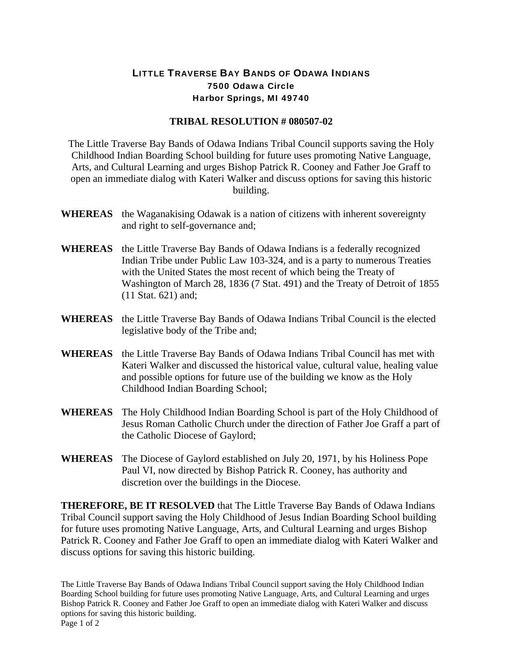## LITTLE TRAVERSE BAY BANDS OF ODAWA INDIANS 7500 Odawa Circle Harbor Springs, MI 49740

## **TRIBAL RESOLUTION # 080507-02**

The Little Traverse Bay Bands of Odawa Indians Tribal Council supports saving the Holy Childhood Indian Boarding School building for future uses promoting Native Language, Arts, and Cultural Learning and urges Bishop Patrick R. Cooney and Father Joe Graff to open an immediate dialog with Kateri Walker and discuss options for saving this historic building.

- **WHEREAS** the Waganakising Odawak is a nation of citizens with inherent sovereignty and right to self-governance and;
- **WHEREAS** the Little Traverse Bay Bands of Odawa Indians is a federally recognized Indian Tribe under Public Law 103-324, and is a party to numerous Treaties with the United States the most recent of which being the Treaty of Washington of March 28, 1836 (7 Stat. 491) and the Treaty of Detroit of 1855 (11 Stat. 621) and;
- **WHEREAS** the Little Traverse Bay Bands of Odawa Indians Tribal Council is the elected legislative body of the Tribe and;
- **WHEREAS** the Little Traverse Bay Bands of Odawa Indians Tribal Council has met with Kateri Walker and discussed the historical value, cultural value, healing value and possible options for future use of the building we know as the Holy Childhood Indian Boarding School;
- **WHEREAS** The Holy Childhood Indian Boarding School is part of the Holy Childhood of Jesus Roman Catholic Church under the direction of Father Joe Graff a part of the Catholic Diocese of Gaylord;
- **WHEREAS** The Diocese of Gaylord established on July 20, 1971, by his Holiness Pope Paul VI, now directed by Bishop Patrick R. Cooney, has authority and discretion over the buildings in the Diocese.

**THEREFORE, BE IT RESOLVED** that The Little Traverse Bay Bands of Odawa Indians Tribal Council support saving the Holy Childhood of Jesus Indian Boarding School building for future uses promoting Native Language, Arts, and Cultural Learning and urges Bishop Patrick R. Cooney and Father Joe Graff to open an immediate dialog with Kateri Walker and discuss options for saving this historic building.

The Little Traverse Bay Bands of Odawa Indians Tribal Council support saving the Holy Childhood Indian Boarding School building for future uses promoting Native Language, Arts, and Cultural Learning and urges Bishop Patrick R. Cooney and Father Joe Graff to open an immediate dialog with Kateri Walker and discuss options for saving this historic building. Page 1 of 2